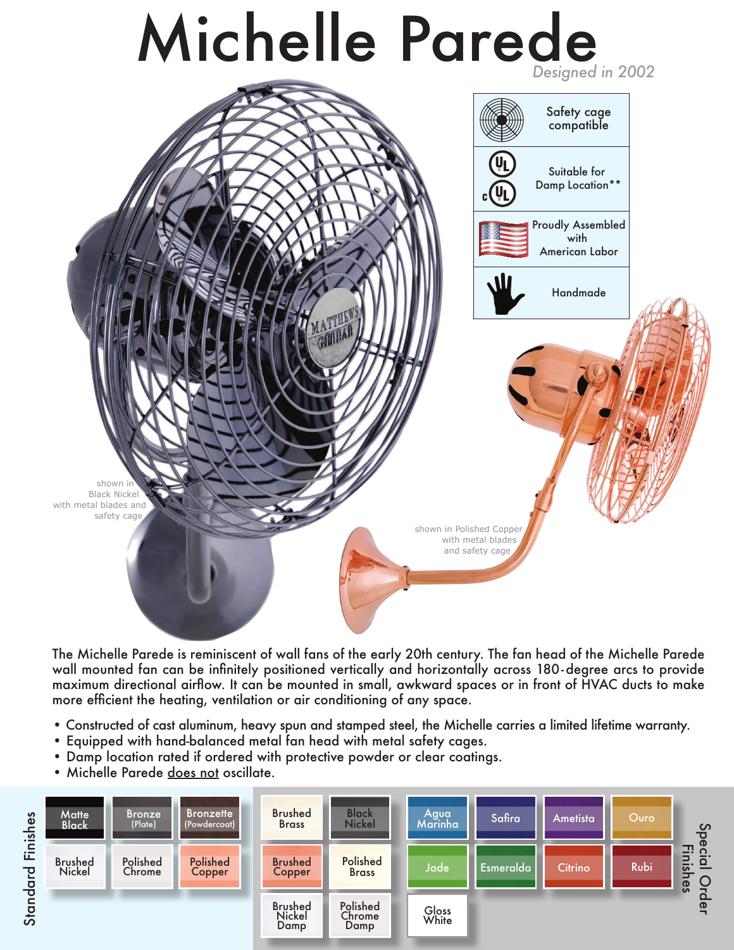



wall mounted fan can be infinitely positioned vertically and horizontally across 180-degree arcs to provide<br>wanitowe discribe al signal was began wated in small, audered was easier foot of HVAC dust to make maximum directional airflow. It can be mounted in small, awkward spaces or in front of HVAC ducts to make<br>maxe efficient the beating ventilation or air conditioning of any engre more efficient the heating, ventilation or air conditioning of any space. The Michelle Parede is reminiscent of wall fans of the early 20th century. The fan head of the Michelle Parede

- Constructed of cast aluminum, heavy spun and stamped steel, the Michelle carries a limited lifetime warranty.
- Equipped with hand-balanced metal fan head with metal safety cages.
- Damp location rated if ordered with protective powder or clear coatings.
- Michelle Parede does not oscillate.